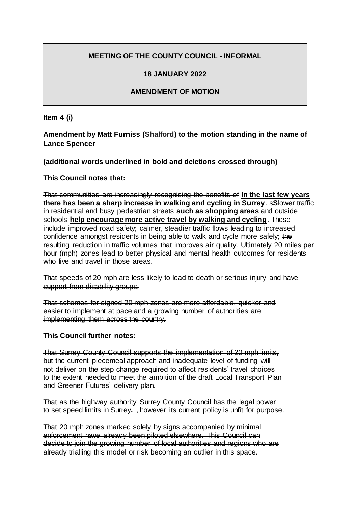## **MEETING OF THE COUNTY COUNCIL - INFORMAL**

## **18 JANUARY 2022**

## **AMENDMENT OF MOTION**

**Item 4 (i)**

**Amendment by Matt Furniss (Shalford) to the motion standing in the name of Lance Spencer**

**(additional words underlined in bold and deletions crossed through)**

**This Council notes that:**

That communities are increasingly recognising the benefits of **In the last few years there has been a sharp increase in walking and cycling in Surrey**. s**S**lower traffic in residential and busy pedestrian streets **such as shopping areas** and outside schools **help encourage more active travel by walking and cycling**. These include improved road safety; calmer, steadier traffic flows leading to increased confidence amongst residents in being able to walk and cycle more safely; the resulting reduction in traffic volumes that improves air quality. Ultimately 20 miles per hour (mph) zones lead to better physical and mental health outcomes for residents who live and travel in those areas.

That speeds of 20 mph are less likely to lead to death or serious injury and have support from disability groups.

That schemes for signed 20 mph zones are more affordable, quicker and easier to implement at pace and a growing number of authorities are implementing them across the country.

**This Council further notes:**

That Surrey County Council supports the implementation of 20 mph limits, but the current piecemeal approach and inadequate level of funding will not deliver on the step change required to affect residents' travel choices to the extent needed to meet the ambition of the draft Local Transport Plan and Greener Futures' delivery plan.

That as the highway authority Surrey County Council has the legal power to set speed limits in Surrey**.** , however its current policy is unfit for purpose.

That 20 mph zones marked solely by signs accompanied by minimal enforcement have already been piloted elsewhere. This Council can decide to join the growing number of local authorities and regions who are already trialling this model or risk becoming an outlier in this space.